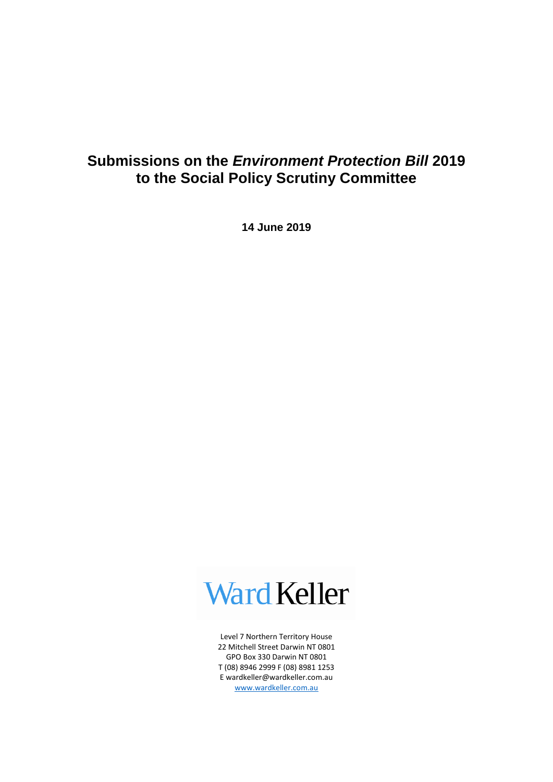# **Submissions on the** *Environment Protection Bill* **2019 to the Social Policy Scrutiny Committee**

**14 June 2019**



Level 7 Northern Territory House 22 Mitchell Street Darwin NT 0801 GPO Box 330 Darwin NT 0801 T (08) 8946 2999 F (08) 8981 1253 E wardkeller@wardkeller.com.au [www.wardkeller.com.au](http://www.wardkeller.com.au/)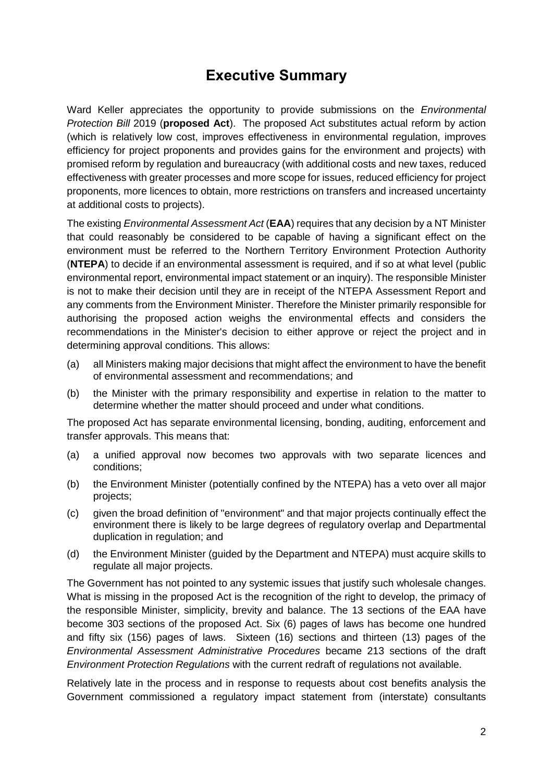# **Executive Summary**

<span id="page-1-0"></span>Ward Keller appreciates the opportunity to provide submissions on the *Environmental Protection Bill* 2019 (**proposed Act**). The proposed Act substitutes actual reform by action (which is relatively low cost, improves effectiveness in environmental regulation, improves efficiency for project proponents and provides gains for the environment and projects) with promised reform by regulation and bureaucracy (with additional costs and new taxes, reduced effectiveness with greater processes and more scope for issues, reduced efficiency for project proponents, more licences to obtain, more restrictions on transfers and increased uncertainty at additional costs to projects).

The existing *Environmental Assessment Act* (**EAA**) requires that any decision by a NT Minister that could reasonably be considered to be capable of having a significant effect on the environment must be referred to the Northern Territory Environment Protection Authority (**NTEPA**) to decide if an environmental assessment is required, and if so at what level (public environmental report, environmental impact statement or an inquiry). The responsible Minister is not to make their decision until they are in receipt of the NTEPA Assessment Report and any comments from the Environment Minister. Therefore the Minister primarily responsible for authorising the proposed action weighs the environmental effects and considers the recommendations in the Minister's decision to either approve or reject the project and in determining approval conditions. This allows:

- (a) all Ministers making major decisions that might affect the environment to have the benefit of environmental assessment and recommendations; and
- (b) the Minister with the primary responsibility and expertise in relation to the matter to determine whether the matter should proceed and under what conditions.

The proposed Act has separate environmental licensing, bonding, auditing, enforcement and transfer approvals. This means that:

- (a) a unified approval now becomes two approvals with two separate licences and conditions;
- (b) the Environment Minister (potentially confined by the NTEPA) has a veto over all major projects;
- (c) given the broad definition of "environment" and that major projects continually effect the environment there is likely to be large degrees of regulatory overlap and Departmental duplication in regulation; and
- (d) the Environment Minister (guided by the Department and NTEPA) must acquire skills to regulate all major projects.

The Government has not pointed to any systemic issues that justify such wholesale changes. What is missing in the proposed Act is the recognition of the right to develop, the primacy of the responsible Minister, simplicity, brevity and balance. The 13 sections of the EAA have become 303 sections of the proposed Act. Six (6) pages of laws has become one hundred and fifty six (156) pages of laws. Sixteen (16) sections and thirteen (13) pages of the *Environmental Assessment Administrative Procedures* became 213 sections of the draft *Environment Protection Regulations* with the current redraft of regulations not available.

Relatively late in the process and in response to requests about cost benefits analysis the Government commissioned a regulatory impact statement from (interstate) consultants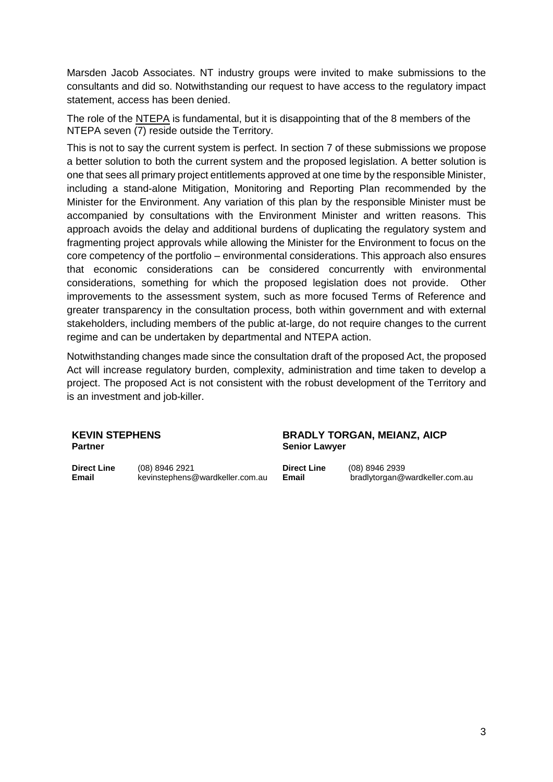Marsden Jacob Associates. NT industry groups were invited to make submissions to the consultants and did so. Notwithstanding our request to have access to the regulatory impact statement, access has been denied.

The role of the NTEPA is fundamental, but it is disappointing that of the 8 members of the NTEPA seven (7) reside outside the Territory.

This is not to say the current system is perfect. In section 7 of these submissions we propose a better solution to both the current system and the proposed legislation. A better solution is one that sees all primary project entitlements approved at one time by the responsible Minister, including a stand-alone Mitigation, Monitoring and Reporting Plan recommended by the Minister for the Environment. Any variation of this plan by the responsible Minister must be accompanied by consultations with the Environment Minister and written reasons. This approach avoids the delay and additional burdens of duplicating the regulatory system and fragmenting project approvals while allowing the Minister for the Environment to focus on the core competency of the portfolio – environmental considerations. This approach also ensures that economic considerations can be considered concurrently with environmental considerations, something for which the proposed legislation does not provide. Other improvements to the assessment system, such as more focused Terms of Reference and greater transparency in the consultation process, both within government and with external stakeholders, including members of the public at-large, do not require changes to the current regime and can be undertaken by departmental and NTEPA action.

Notwithstanding changes made since the consultation draft of the proposed Act, the proposed Act will increase regulatory burden, complexity, administration and time taken to develop a project. The proposed Act is not consistent with the robust development of the Territory and is an investment and job-killer.

#### **KEVIN STEPHENS Partner**

**BRADLY TORGAN, MEIANZ, AICP Senior Lawyer**

**Direct Line** (08) 8946 2921 **Email** kevinstephens@wardkeller.com.au **Direct Line** (08) 8946 2939 **Email** bradlytorgan@wardkeller.com.au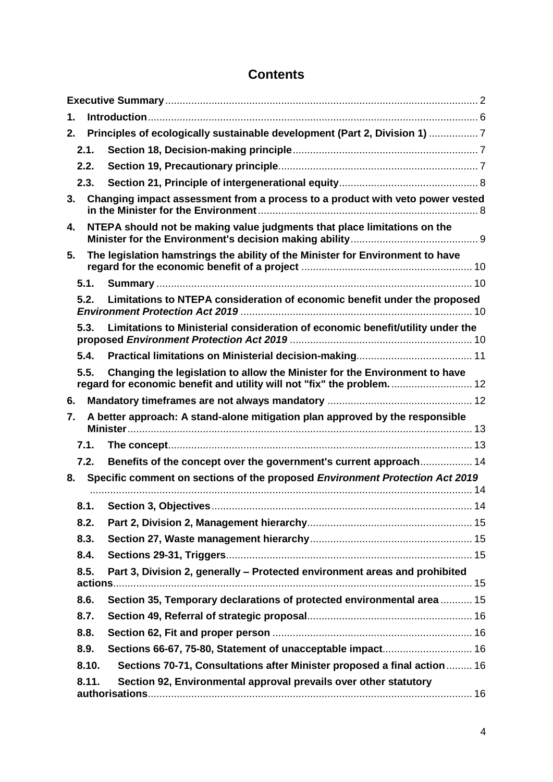# **Contents**

| 1. |                  |                                                                                |  |  |  |
|----|------------------|--------------------------------------------------------------------------------|--|--|--|
| 2. |                  | Principles of ecologically sustainable development (Part 2, Division 1)  7     |  |  |  |
|    | 2.1.             |                                                                                |  |  |  |
|    | 2.2.             |                                                                                |  |  |  |
|    | 2.3.             |                                                                                |  |  |  |
| 3. |                  | Changing impact assessment from a process to a product with veto power vested  |  |  |  |
| 4. |                  | NTEPA should not be making value judgments that place limitations on the       |  |  |  |
| 5. |                  | The legislation hamstrings the ability of the Minister for Environment to have |  |  |  |
|    | 5.1.             |                                                                                |  |  |  |
|    | 5.2.             | Limitations to NTEPA consideration of economic benefit under the proposed      |  |  |  |
|    | 5.3.             | Limitations to Ministerial consideration of economic benefit/utility under the |  |  |  |
|    | 5.4.             |                                                                                |  |  |  |
|    | 5.5.             | Changing the legislation to allow the Minister for the Environment to have     |  |  |  |
| 6. |                  |                                                                                |  |  |  |
| 7. |                  | A better approach: A stand-alone mitigation plan approved by the responsible   |  |  |  |
|    | 7.1.             |                                                                                |  |  |  |
|    | 7.2.             | Benefits of the concept over the government's current approach 14              |  |  |  |
| 8. |                  | Specific comment on sections of the proposed Environment Protection Act 2019   |  |  |  |
|    |                  |                                                                                |  |  |  |
|    | 8.1.             |                                                                                |  |  |  |
|    | 8.2.             |                                                                                |  |  |  |
|    | 8.3.             |                                                                                |  |  |  |
|    | 8.4.             |                                                                                |  |  |  |
|    | 8.5.<br>actions. | Part 3, Division 2, generally - Protected environment areas and prohibited     |  |  |  |
|    | 8.6.             | Section 35, Temporary declarations of protected environmental area  15         |  |  |  |
|    | 8.7.             |                                                                                |  |  |  |
|    | 8.8.             |                                                                                |  |  |  |
|    | 8.9.             | Sections 66-67, 75-80, Statement of unacceptable impact 16                     |  |  |  |
|    | 8.10.            | Sections 70-71, Consultations after Minister proposed a final action  16       |  |  |  |
|    | 8.11.            | Section 92, Environmental approval prevails over other statutory               |  |  |  |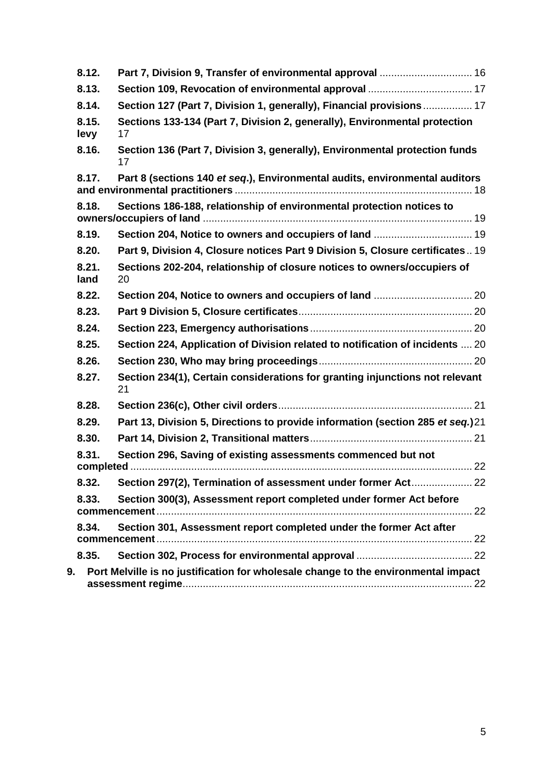|    | 8.12.         |                                                                                    |  |
|----|---------------|------------------------------------------------------------------------------------|--|
|    | 8.13.         |                                                                                    |  |
|    | 8.14.         | Section 127 (Part 7, Division 1, generally), Financial provisions 17               |  |
|    | 8.15.<br>levy | Sections 133-134 (Part 7, Division 2, generally), Environmental protection<br>17   |  |
|    | 8.16.         | Section 136 (Part 7, Division 3, generally), Environmental protection funds<br>17  |  |
|    | 8.17.         | Part 8 (sections 140 et seq.), Environmental audits, environmental auditors        |  |
|    | 8.18.         | Sections 186-188, relationship of environmental protection notices to              |  |
|    | 8.19.         | Section 204, Notice to owners and occupiers of land  19                            |  |
|    | 8.20.         | Part 9, Division 4, Closure notices Part 9 Division 5, Closure certificates 19     |  |
|    | 8.21.<br>land | Sections 202-204, relationship of closure notices to owners/occupiers of<br>20     |  |
|    | 8.22.         |                                                                                    |  |
|    | 8.23.         |                                                                                    |  |
|    | 8.24.         |                                                                                    |  |
|    | 8.25.         | Section 224, Application of Division related to notification of incidents  20      |  |
|    | 8.26.         |                                                                                    |  |
|    | 8.27.         | Section 234(1), Certain considerations for granting injunctions not relevant<br>21 |  |
|    | 8.28.         |                                                                                    |  |
|    | 8.29.         | Part 13, Division 5, Directions to provide information (section 285 et seg.) 21    |  |
|    | 8.30.         |                                                                                    |  |
|    | 8.31.         | Section 296, Saving of existing assessments commenced but not                      |  |
|    | 8.32.         | Section 297(2), Termination of assessment under former Act 22                      |  |
|    | 8.33.         | Section 300(3), Assessment report completed under former Act before<br>. 22        |  |
|    | 8.34.         | Section 301, Assessment report completed under the former Act after                |  |
|    | 8.35.         |                                                                                    |  |
| 9. |               | Port Melville is no justification for wholesale change to the environmental impact |  |
|    |               |                                                                                    |  |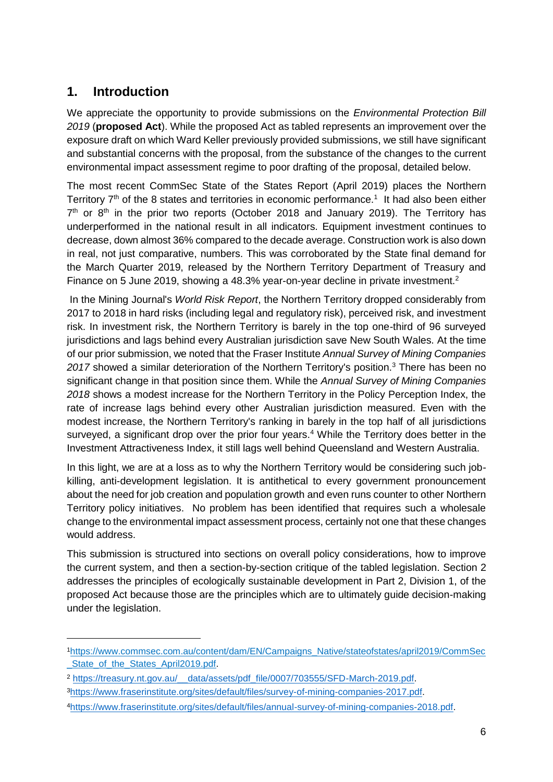# <span id="page-5-0"></span>**1. Introduction**

-

We appreciate the opportunity to provide submissions on the *Environmental Protection Bill 2019* (**proposed Act**). While the proposed Act as tabled represents an improvement over the exposure draft on which Ward Keller previously provided submissions, we still have significant and substantial concerns with the proposal, from the substance of the changes to the current environmental impact assessment regime to poor drafting of the proposal, detailed below.

The most recent CommSec State of the States Report (April 2019) places the Northern Territory  $7<sup>th</sup>$  of the 8 states and territories in economic performance.<sup>1</sup> It had also been either  $7<sup>th</sup>$  or  $8<sup>th</sup>$  in the prior two reports (October 2018 and January 2019). The Territory has underperformed in the national result in all indicators. Equipment investment continues to decrease, down almost 36% compared to the decade average. Construction work is also down in real, not just comparative, numbers. This was corroborated by the State final demand for the March Quarter 2019, released by the Northern Territory Department of Treasury and Finance on 5 June 2019, showing a 48.3% year-on-year decline in private investment.<sup>2</sup>

In the Mining Journal's *World Risk Report*, the Northern Territory dropped considerably from 2017 to 2018 in hard risks (including legal and regulatory risk), perceived risk, and investment risk. In investment risk, the Northern Territory is barely in the top one-third of 96 surveyed jurisdictions and lags behind every Australian jurisdiction save New South Wales. At the time of our prior submission, we noted that the Fraser Institute *Annual Survey of Mining Companies*  2017 showed a similar deterioration of the Northern Territory's position.<sup>3</sup> There has been no significant change in that position since them. While the *Annual Survey of Mining Companies 2018* shows a modest increase for the Northern Territory in the Policy Perception Index, the rate of increase lags behind every other Australian jurisdiction measured. Even with the modest increase, the Northern Territory's ranking in barely in the top half of all jurisdictions surveyed, a significant drop over the prior four years.<sup>4</sup> While the Territory does better in the Investment Attractiveness Index, it still lags well behind Queensland and Western Australia.

In this light, we are at a loss as to why the Northern Territory would be considering such jobkilling, anti-development legislation. It is antithetical to every government pronouncement about the need for job creation and population growth and even runs counter to other Northern Territory policy initiatives. No problem has been identified that requires such a wholesale change to the environmental impact assessment process, certainly not one that these changes would address.

This submission is structured into sections on overall policy considerations, how to improve the current system, and then a section-by-section critique of the tabled legislation. Section 2 addresses the principles of ecologically sustainable development in Part 2, Division 1, of the proposed Act because those are the principles which are to ultimately guide decision-making under the legislation.

<sup>1</sup>[https://www.commsec.com.au/content/dam/EN/Campaigns\\_Native/stateofstates/april2019/CommSec](https://www.commsec.com.au/content/dam/EN/Campaigns_Native/stateofstates/april2019/CommSec_State_of_the_States_April2019.pdf) [\\_State\\_of\\_the\\_States\\_April2019.pdf.](https://www.commsec.com.au/content/dam/EN/Campaigns_Native/stateofstates/april2019/CommSec_State_of_the_States_April2019.pdf)

<sup>2</sup> [https://treasury.nt.gov.au/\\_\\_data/assets/pdf\\_file/0007/703555/SFD-March-2019.pdf.](https://treasury.nt.gov.au/__data/assets/pdf_file/0007/703555/SFD-March-2019.pdf)

<sup>3</sup>[https://www.fraserinstitute.org/sites/default/files/survey-of-mining-companies-2017.pdf.](https://www.fraserinstitute.org/sites/default/files/survey-of-mining-companies-2017.pdf)

<sup>4</sup>[https://www.fraserinstitute.org/sites/default/files/annual-survey-of-mining-companies-2018.pdf.](https://www.fraserinstitute.org/sites/default/files/annual-survey-of-mining-companies-2018.pdf)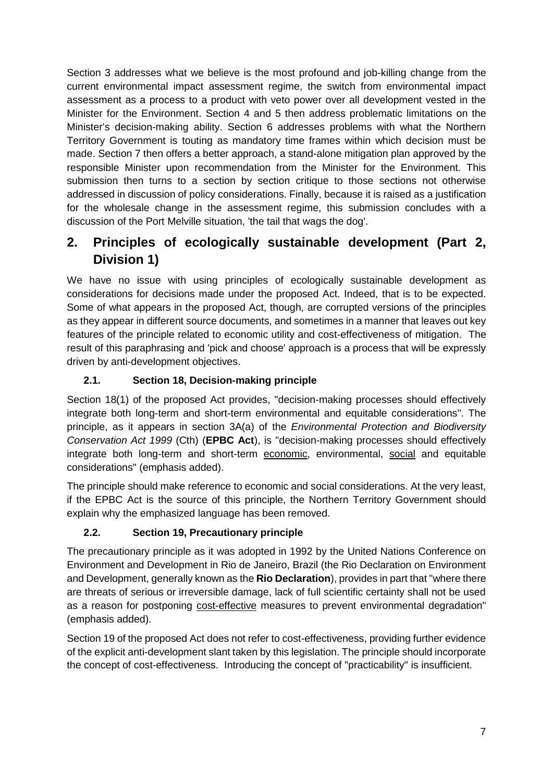Section 3 addresses what we believe is the most profound and job-killing change from the current environmental impact assessment regime, the switch from environmental impact assessment as a process to a product with veto power over all development vested in the Minister for the Environment. Section 4 and 5 then address problematic limitations on the Minister's decision-making ability. Section 6 addresses problems with what the Northern Territory Government is touting as mandatory time frames within which decision must be made. Section 7 then offers a better approach, a stand-alone mitigation plan approved by the responsible Minister upon recommendation from the Minister for the Environment. This submission then turns to a section by section critique to those sections not otherwise addressed in discussion of policy considerations. Finally, because it is raised as a justification for the wholesale change in the assessment regime, this submission concludes with a discussion of the Port Melville situation, 'the tail that wags the dog'.

# <span id="page-6-0"></span>**2. Principles of ecologically sustainable development (Part 2, Division 1)**

We have no issue with using principles of ecologically sustainable development as considerations for decisions made under the proposed Act. Indeed, that is to be expected. Some of what appears in the proposed Act, though, are corrupted versions of the principles as they appear in different source documents, and sometimes in a manner that leaves out key features of the principle related to economic utility and cost-effectiveness of mitigation. The result of this paraphrasing and 'pick and choose' approach is a process that will be expressly driven by anti-development objectives.

# <span id="page-6-1"></span>**2.1. Section 18, Decision-making principle**

Section 18(1) of the proposed Act provides, "decision-making processes should effectively integrate both long-term and short-term environmental and equitable considerations". The principle, as it appears in section 3A(a) of the *Environmental Protection and Biodiversity Conservation Act 1999* (Cth) (**EPBC Act**), is "decision-making processes should effectively integrate both long-term and short-term economic, environmental, social and equitable considerations" (emphasis added).

The principle should make reference to economic and social considerations. At the very least, if the EPBC Act is the source of this principle, the Northern Territory Government should explain why the emphasized language has been removed.

### <span id="page-6-2"></span>**2.2. Section 19, Precautionary principle**

The precautionary principle as it was adopted in 1992 by the United Nations Conference on Environment and Development in Rio de Janeiro, Brazil (the Rio Declaration on Environment and Development, generally known as the **Rio Declaration**), provides in part that "where there are threats of serious or irreversible damage, lack of full scientific certainty shall not be used as a reason for postponing cost-effective measures to prevent environmental degradation" (emphasis added).

Section 19 of the proposed Act does not refer to cost-effectiveness, providing further evidence of the explicit anti-development slant taken by this legislation. The principle should incorporate the concept of cost-effectiveness. Introducing the concept of "practicability" is insufficient.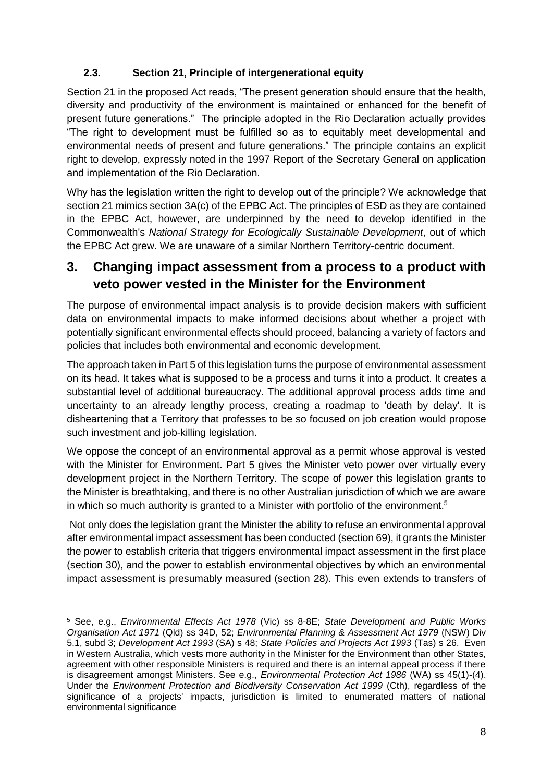### <span id="page-7-0"></span>**2.3. Section 21, Principle of intergenerational equity**

Section 21 in the proposed Act reads, "The present generation should ensure that the health, diversity and productivity of the environment is maintained or enhanced for the benefit of present future generations." The principle adopted in the Rio Declaration actually provides "The right to development must be fulfilled so as to equitably meet developmental and environmental needs of present and future generations." The principle contains an explicit right to develop, expressly noted in the 1997 Report of the Secretary General on application and implementation of the Rio Declaration.

Why has the legislation written the right to develop out of the principle? We acknowledge that section 21 mimics section 3A(c) of the EPBC Act. The principles of ESD as they are contained in the EPBC Act, however, are underpinned by the need to develop identified in the Commonwealth's *National Strategy for Ecologically Sustainable Development*, out of which the EPBC Act grew. We are unaware of a similar Northern Territory-centric document.

# <span id="page-7-1"></span>**3. Changing impact assessment from a process to a product with veto power vested in the Minister for the Environment**

The purpose of environmental impact analysis is to provide decision makers with sufficient data on environmental impacts to make informed decisions about whether a project with potentially significant environmental effects should proceed, balancing a variety of factors and policies that includes both environmental and economic development.

The approach taken in Part 5 of this legislation turns the purpose of environmental assessment on its head. It takes what is supposed to be a process and turns it into a product. It creates a substantial level of additional bureaucracy. The additional approval process adds time and uncertainty to an already lengthy process, creating a roadmap to 'death by delay'. It is disheartening that a Territory that professes to be so focused on job creation would propose such investment and job-killing legislation.

We oppose the concept of an environmental approval as a permit whose approval is vested with the Minister for Environment. Part 5 gives the Minister veto power over virtually every development project in the Northern Territory. The scope of power this legislation grants to the Minister is breathtaking, and there is no other Australian jurisdiction of which we are aware in which so much authority is granted to a Minister with portfolio of the environment.<sup>5</sup>

Not only does the legislation grant the Minister the ability to refuse an environmental approval after environmental impact assessment has been conducted (section 69), it grants the Minister the power to establish criteria that triggers environmental impact assessment in the first place (section 30), and the power to establish environmental objectives by which an environmental impact assessment is presumably measured (section 28). This even extends to transfers of

-

<sup>5</sup> See, e.g., *Environmental Effects Act 1978* (Vic) ss 8-8E; *State Development and Public Works Organisation Act 1971* (Qld) ss 34D, 52; *Environmental Planning & Assessment Act 1979* (NSW) Div 5.1, subd 3; *Development Act 1993* (SA) s 48; *State Policies and Projects Act 1993* (Tas) s 26. Even in Western Australia, which vests more authority in the Minister for the Environment than other States, agreement with other responsible Ministers is required and there is an internal appeal process if there is disagreement amongst Ministers. See e.g., *Environmental Protection Act 1986* (WA) ss 45(1)-(4). Under the *Environment Protection and Biodiversity Conservation Act 1999* (Cth), regardless of the significance of a projects' impacts, jurisdiction is limited to enumerated matters of national environmental significance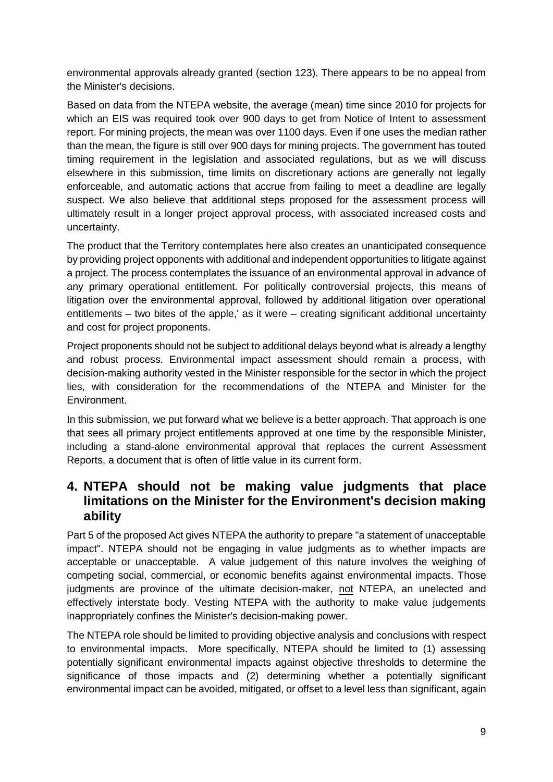environmental approvals already granted (section 123). There appears to be no appeal from the Minister's decisions.

Based on data from the NTEPA website, the average (mean) time since 2010 for projects for which an EIS was required took over 900 days to get from Notice of Intent to assessment report. For mining projects, the mean was over 1100 days. Even if one uses the median rather than the mean, the figure is still over 900 days for mining projects. The government has touted timing requirement in the legislation and associated regulations, but as we will discuss elsewhere in this submission, time limits on discretionary actions are generally not legally enforceable, and automatic actions that accrue from failing to meet a deadline are legally suspect. We also believe that additional steps proposed for the assessment process will ultimately result in a longer project approval process, with associated increased costs and uncertainty.

The product that the Territory contemplates here also creates an unanticipated consequence by providing project opponents with additional and independent opportunities to litigate against a project. The process contemplates the issuance of an environmental approval in advance of any primary operational entitlement. For politically controversial projects, this means of litigation over the environmental approval, followed by additional litigation over operational entitlements – two bites of the apple,' as it were – creating significant additional uncertainty and cost for project proponents.

Project proponents should not be subject to additional delays beyond what is already a lengthy and robust process. Environmental impact assessment should remain a process, with decision-making authority vested in the Minister responsible for the sector in which the project lies, with consideration for the recommendations of the NTEPA and Minister for the Environment.

In this submission, we put forward what we believe is a better approach. That approach is one that sees all primary project entitlements approved at one time by the responsible Minister, including a stand-alone environmental approval that replaces the current Assessment Reports, a document that is often of little value in its current form.

# <span id="page-8-0"></span>**4. NTEPA should not be making value judgments that place limitations on the Minister for the Environment's decision making ability**

Part 5 of the proposed Act gives NTEPA the authority to prepare "a statement of unacceptable impact". NTEPA should not be engaging in value judgments as to whether impacts are acceptable or unacceptable. A value judgement of this nature involves the weighing of competing social, commercial, or economic benefits against environmental impacts. Those judgments are province of the ultimate decision-maker, not NTEPA, an unelected and effectively interstate body. Vesting NTEPA with the authority to make value judgements inappropriately confines the Minister's decision-making power.

The NTEPA role should be limited to providing objective analysis and conclusions with respect to environmental impacts. More specifically, NTEPA should be limited to (1) assessing potentially significant environmental impacts against objective thresholds to determine the significance of those impacts and (2) determining whether a potentially significant environmental impact can be avoided, mitigated, or offset to a level less than significant, again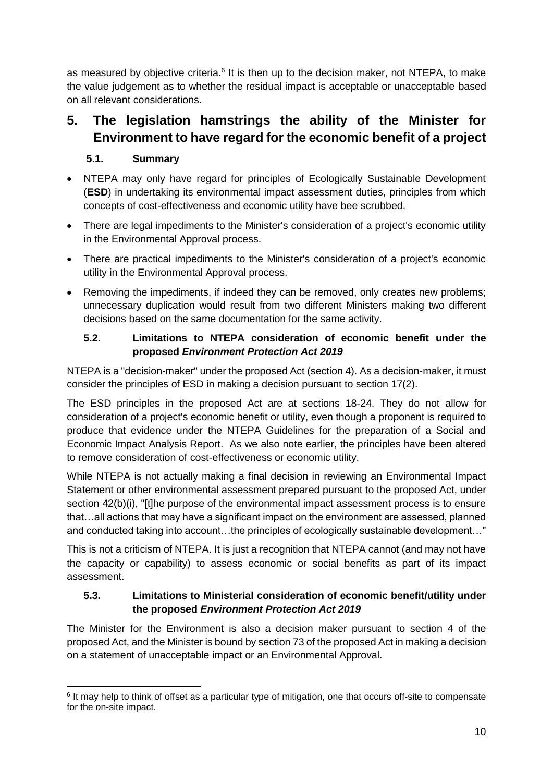as measured by objective criteria.<sup>6</sup> It is then up to the decision maker, not NTEPA, to make the value judgement as to whether the residual impact is acceptable or unacceptable based on all relevant considerations.

# <span id="page-9-0"></span>**5. The legislation hamstrings the ability of the Minister for Environment to have regard for the economic benefit of a project**

## **5.1. Summary**

- <span id="page-9-1"></span> NTEPA may only have regard for principles of Ecologically Sustainable Development (**ESD**) in undertaking its environmental impact assessment duties, principles from which concepts of cost-effectiveness and economic utility have bee scrubbed.
- There are legal impediments to the Minister's consideration of a project's economic utility in the Environmental Approval process.
- There are practical impediments to the Minister's consideration of a project's economic utility in the Environmental Approval process.
- Removing the impediments, if indeed they can be removed, only creates new problems; unnecessary duplication would result from two different Ministers making two different decisions based on the same documentation for the same activity.

## <span id="page-9-2"></span>**5.2. Limitations to NTEPA consideration of economic benefit under the proposed** *Environment Protection Act 2019*

NTEPA is a "decision-maker" under the proposed Act (section 4). As a decision-maker, it must consider the principles of ESD in making a decision pursuant to section 17(2).

The ESD principles in the proposed Act are at sections 18-24. They do not allow for consideration of a project's economic benefit or utility, even though a proponent is required to produce that evidence under the NTEPA Guidelines for the preparation of a Social and Economic Impact Analysis Report. As we also note earlier, the principles have been altered to remove consideration of cost-effectiveness or economic utility.

While NTEPA is not actually making a final decision in reviewing an Environmental Impact Statement or other environmental assessment prepared pursuant to the proposed Act, under section 42(b)(i), "[t]he purpose of the environmental impact assessment process is to ensure that…all actions that may have a significant impact on the environment are assessed, planned and conducted taking into account…the principles of ecologically sustainable development…"

This is not a criticism of NTEPA. It is just a recognition that NTEPA cannot (and may not have the capacity or capability) to assess economic or social benefits as part of its impact assessment.

## <span id="page-9-3"></span>**5.3. Limitations to Ministerial consideration of economic benefit/utility under the proposed** *Environment Protection Act 2019*

The Minister for the Environment is also a decision maker pursuant to section 4 of the proposed Act, and the Minister is bound by section 73 of the proposed Act in making a decision on a statement of unacceptable impact or an Environmental Approval.

<sup>-</sup>6 It may help to think of offset as a particular type of mitigation, one that occurs off-site to compensate for the on-site impact.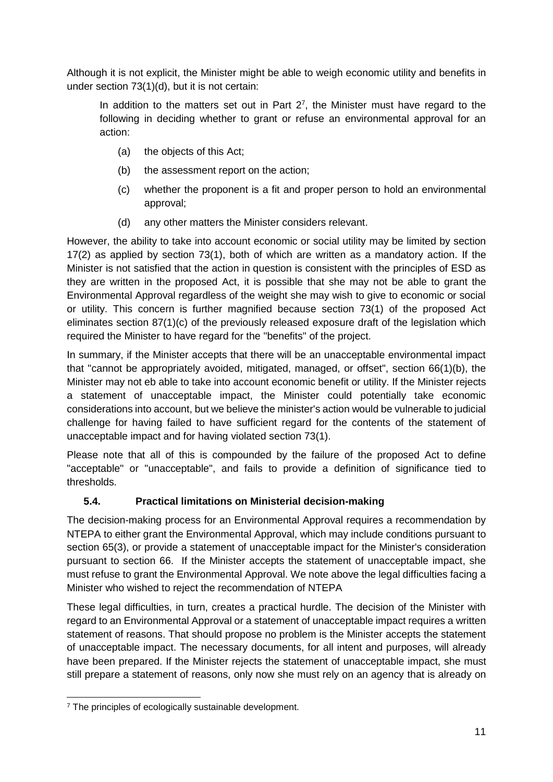Although it is not explicit, the Minister might be able to weigh economic utility and benefits in under section 73(1)(d), but it is not certain:

In addition to the matters set out in Part  $2<sup>7</sup>$ , the Minister must have regard to the following in deciding whether to grant or refuse an environmental approval for an action:

- (a) the objects of this Act;
- (b) the assessment report on the action;
- (c) whether the proponent is a fit and proper person to hold an environmental approval;
- (d) any other matters the Minister considers relevant.

However, the ability to take into account economic or social utility may be limited by section 17(2) as applied by section 73(1), both of which are written as a mandatory action. If the Minister is not satisfied that the action in question is consistent with the principles of ESD as they are written in the proposed Act, it is possible that she may not be able to grant the Environmental Approval regardless of the weight she may wish to give to economic or social or utility. This concern is further magnified because section 73(1) of the proposed Act eliminates section 87(1)(c) of the previously released exposure draft of the legislation which required the Minister to have regard for the "benefits" of the project.

In summary, if the Minister accepts that there will be an unacceptable environmental impact that "cannot be appropriately avoided, mitigated, managed, or offset", section 66(1)(b), the Minister may not eb able to take into account economic benefit or utility. If the Minister rejects a statement of unacceptable impact, the Minister could potentially take economic considerations into account, but we believe the minister's action would be vulnerable to judicial challenge for having failed to have sufficient regard for the contents of the statement of unacceptable impact and for having violated section 73(1).

Please note that all of this is compounded by the failure of the proposed Act to define "acceptable" or "unacceptable", and fails to provide a definition of significance tied to thresholds.

### <span id="page-10-0"></span>**5.4. Practical limitations on Ministerial decision-making**

The decision-making process for an Environmental Approval requires a recommendation by NTEPA to either grant the Environmental Approval, which may include conditions pursuant to section 65(3), or provide a statement of unacceptable impact for the Minister's consideration pursuant to section 66. If the Minister accepts the statement of unacceptable impact, she must refuse to grant the Environmental Approval. We note above the legal difficulties facing a Minister who wished to reject the recommendation of NTEPA

These legal difficulties, in turn, creates a practical hurdle. The decision of the Minister with regard to an Environmental Approval or a statement of unacceptable impact requires a written statement of reasons. That should propose no problem is the Minister accepts the statement of unacceptable impact. The necessary documents, for all intent and purposes, will already have been prepared. If the Minister rejects the statement of unacceptable impact, she must still prepare a statement of reasons, only now she must rely on an agency that is already on

<sup>-</sup> $7$  The principles of ecologically sustainable development.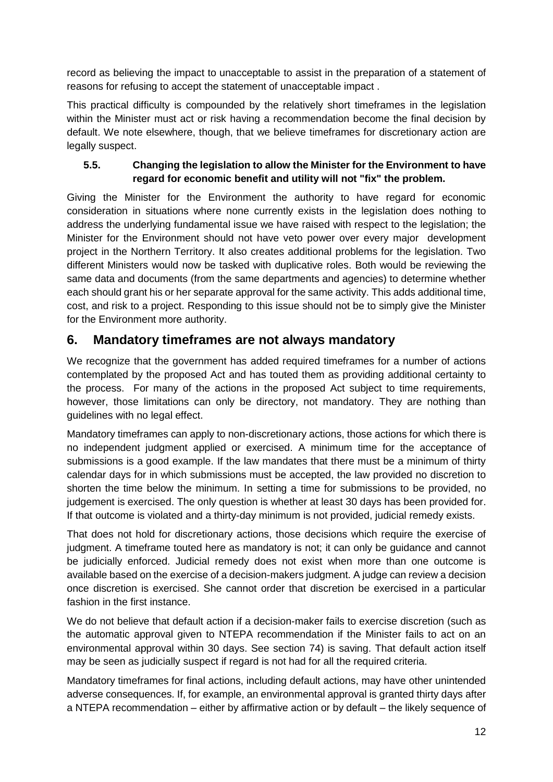record as believing the impact to unacceptable to assist in the preparation of a statement of reasons for refusing to accept the statement of unacceptable impact .

This practical difficulty is compounded by the relatively short timeframes in the legislation within the Minister must act or risk having a recommendation become the final decision by default. We note elsewhere, though, that we believe timeframes for discretionary action are legally suspect.

#### <span id="page-11-0"></span>**5.5. Changing the legislation to allow the Minister for the Environment to have regard for economic benefit and utility will not "fix" the problem.**

Giving the Minister for the Environment the authority to have regard for economic consideration in situations where none currently exists in the legislation does nothing to address the underlying fundamental issue we have raised with respect to the legislation; the Minister for the Environment should not have veto power over every major development project in the Northern Territory. It also creates additional problems for the legislation. Two different Ministers would now be tasked with duplicative roles. Both would be reviewing the same data and documents (from the same departments and agencies) to determine whether each should grant his or her separate approval for the same activity. This adds additional time, cost, and risk to a project. Responding to this issue should not be to simply give the Minister for the Environment more authority.

# <span id="page-11-1"></span>**6. Mandatory timeframes are not always mandatory**

We recognize that the government has added required timeframes for a number of actions contemplated by the proposed Act and has touted them as providing additional certainty to the process. For many of the actions in the proposed Act subject to time requirements, however, those limitations can only be directory, not mandatory. They are nothing than guidelines with no legal effect.

Mandatory timeframes can apply to non-discretionary actions, those actions for which there is no independent judgment applied or exercised. A minimum time for the acceptance of submissions is a good example. If the law mandates that there must be a minimum of thirty calendar days for in which submissions must be accepted, the law provided no discretion to shorten the time below the minimum. In setting a time for submissions to be provided, no judgement is exercised. The only question is whether at least 30 days has been provided for. If that outcome is violated and a thirty-day minimum is not provided, judicial remedy exists.

That does not hold for discretionary actions, those decisions which require the exercise of judgment. A timeframe touted here as mandatory is not; it can only be guidance and cannot be judicially enforced. Judicial remedy does not exist when more than one outcome is available based on the exercise of a decision-makers judgment. A judge can review a decision once discretion is exercised. She cannot order that discretion be exercised in a particular fashion in the first instance.

We do not believe that default action if a decision-maker fails to exercise discretion (such as the automatic approval given to NTEPA recommendation if the Minister fails to act on an environmental approval within 30 days. See section 74) is saving. That default action itself may be seen as judicially suspect if regard is not had for all the required criteria.

Mandatory timeframes for final actions, including default actions, may have other unintended adverse consequences. If, for example, an environmental approval is granted thirty days after a NTEPA recommendation – either by affirmative action or by default – the likely sequence of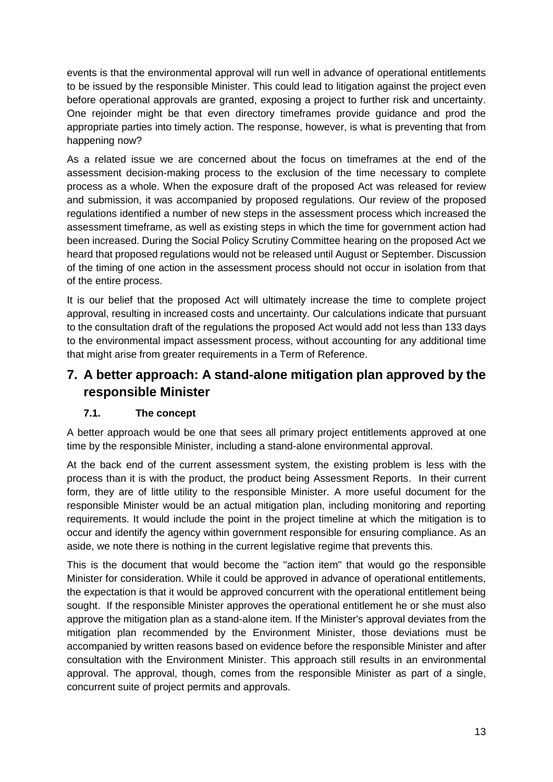events is that the environmental approval will run well in advance of operational entitlements to be issued by the responsible Minister. This could lead to litigation against the project even before operational approvals are granted, exposing a project to further risk and uncertainty. One rejoinder might be that even directory timeframes provide guidance and prod the appropriate parties into timely action. The response, however, is what is preventing that from happening now?

As a related issue we are concerned about the focus on timeframes at the end of the assessment decision-making process to the exclusion of the time necessary to complete process as a whole. When the exposure draft of the proposed Act was released for review and submission, it was accompanied by proposed regulations. Our review of the proposed regulations identified a number of new steps in the assessment process which increased the assessment timeframe, as well as existing steps in which the time for government action had been increased. During the Social Policy Scrutiny Committee hearing on the proposed Act we heard that proposed regulations would not be released until August or September. Discussion of the timing of one action in the assessment process should not occur in isolation from that of the entire process.

It is our belief that the proposed Act will ultimately increase the time to complete project approval, resulting in increased costs and uncertainty. Our calculations indicate that pursuant to the consultation draft of the regulations the proposed Act would add not less than 133 days to the environmental impact assessment process, without accounting for any additional time that might arise from greater requirements in a Term of Reference.

# <span id="page-12-0"></span>**7. A better approach: A stand-alone mitigation plan approved by the responsible Minister**

### <span id="page-12-1"></span>**7.1. The concept**

A better approach would be one that sees all primary project entitlements approved at one time by the responsible Minister, including a stand-alone environmental approval.

At the back end of the current assessment system, the existing problem is less with the process than it is with the product, the product being Assessment Reports. In their current form, they are of little utility to the responsible Minister. A more useful document for the responsible Minister would be an actual mitigation plan, including monitoring and reporting requirements. It would include the point in the project timeline at which the mitigation is to occur and identify the agency within government responsible for ensuring compliance. As an aside, we note there is nothing in the current legislative regime that prevents this.

This is the document that would become the "action item" that would go the responsible Minister for consideration. While it could be approved in advance of operational entitlements, the expectation is that it would be approved concurrent with the operational entitlement being sought. If the responsible Minister approves the operational entitlement he or she must also approve the mitigation plan as a stand-alone item. If the Minister's approval deviates from the mitigation plan recommended by the Environment Minister, those deviations must be accompanied by written reasons based on evidence before the responsible Minister and after consultation with the Environment Minister. This approach still results in an environmental approval. The approval, though, comes from the responsible Minister as part of a single, concurrent suite of project permits and approvals.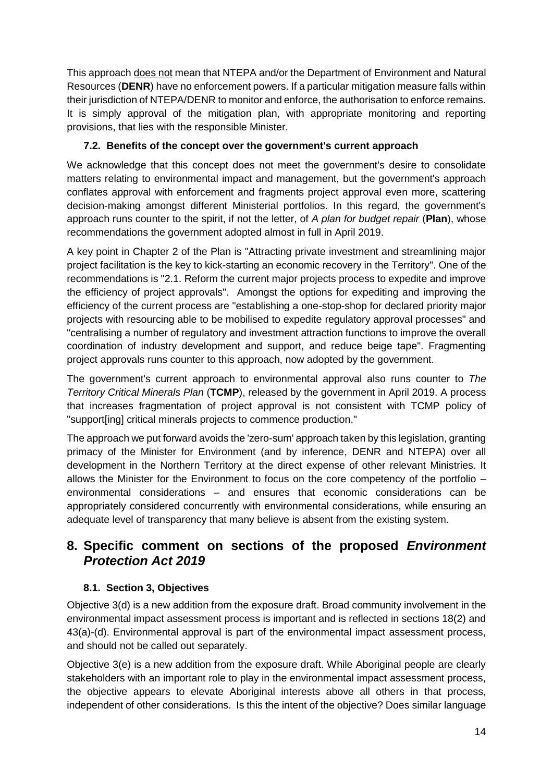This approach does not mean that NTEPA and/or the Department of Environment and Natural Resources (**DENR**) have no enforcement powers. If a particular mitigation measure falls within their jurisdiction of NTEPA/DENR to monitor and enforce, the authorisation to enforce remains. It is simply approval of the mitigation plan, with appropriate monitoring and reporting provisions, that lies with the responsible Minister.

### <span id="page-13-0"></span>**7.2. Benefits of the concept over the government's current approach**

We acknowledge that this concept does not meet the government's desire to consolidate matters relating to environmental impact and management, but the government's approach conflates approval with enforcement and fragments project approval even more, scattering decision-making amongst different Ministerial portfolios. In this regard, the government's approach runs counter to the spirit, if not the letter, of *A plan for budget repair* (**Plan**), whose recommendations the government adopted almost in full in April 2019.

A key point in Chapter 2 of the Plan is "Attracting private investment and streamlining major project facilitation is the key to kick-starting an economic recovery in the Territory". One of the recommendations is "2.1. Reform the current major projects process to expedite and improve the efficiency of project approvals". Amongst the options for expediting and improving the efficiency of the current process are "establishing a one-stop-shop for declared priority major projects with resourcing able to be mobilised to expedite regulatory approval processes" and "centralising a number of regulatory and investment attraction functions to improve the overall coordination of industry development and support, and reduce beige tape". Fragmenting project approvals runs counter to this approach, now adopted by the government.

The government's current approach to environmental approval also runs counter to *The Territory Critical Minerals Plan* (**TCMP**), released by the government in April 2019. A process that increases fragmentation of project approval is not consistent with TCMP policy of "support[ing] critical minerals projects to commence production."

The approach we put forward avoids the 'zero-sum' approach taken by this legislation, granting primacy of the Minister for Environment (and by inference, DENR and NTEPA) over all development in the Northern Territory at the direct expense of other relevant Ministries. It allows the Minister for the Environment to focus on the core competency of the portfolio – environmental considerations – and ensures that economic considerations can be appropriately considered concurrently with environmental considerations, while ensuring an adequate level of transparency that many believe is absent from the existing system.

# <span id="page-13-1"></span>**8. Specific comment on sections of the proposed** *Environment Protection Act 2019*

### <span id="page-13-2"></span>**8.1. Section 3, Objectives**

Objective 3(d) is a new addition from the exposure draft. Broad community involvement in the environmental impact assessment process is important and is reflected in sections 18(2) and 43(a)-(d). Environmental approval is part of the environmental impact assessment process, and should not be called out separately.

Objective 3(e) is a new addition from the exposure draft. While Aboriginal people are clearly stakeholders with an important role to play in the environmental impact assessment process, the objective appears to elevate Aboriginal interests above all others in that process, independent of other considerations. Is this the intent of the objective? Does similar language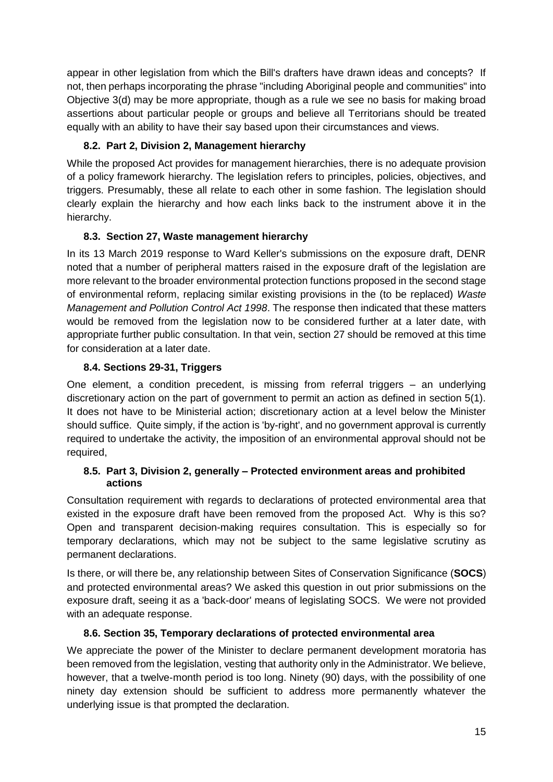appear in other legislation from which the Bill's drafters have drawn ideas and concepts? If not, then perhaps incorporating the phrase "including Aboriginal people and communities" into Objective 3(d) may be more appropriate, though as a rule we see no basis for making broad assertions about particular people or groups and believe all Territorians should be treated equally with an ability to have their say based upon their circumstances and views.

### **8.2. Part 2, Division 2, Management hierarchy**

<span id="page-14-0"></span>While the proposed Act provides for management hierarchies, there is no adequate provision of a policy framework hierarchy. The legislation refers to principles, policies, objectives, and triggers. Presumably, these all relate to each other in some fashion. The legislation should clearly explain the hierarchy and how each links back to the instrument above it in the hierarchy.

#### **8.3. Section 27, Waste management hierarchy**

<span id="page-14-1"></span>In its 13 March 2019 response to Ward Keller's submissions on the exposure draft, DENR noted that a number of peripheral matters raised in the exposure draft of the legislation are more relevant to the broader environmental protection functions proposed in the second stage of environmental reform, replacing similar existing provisions in the (to be replaced) *Waste Management and Pollution Control Act 1998*. The response then indicated that these matters would be removed from the legislation now to be considered further at a later date, with appropriate further public consultation. In that vein, section 27 should be removed at this time for consideration at a later date.

#### **8.4. Sections 29-31, Triggers**

<span id="page-14-2"></span>One element, a condition precedent, is missing from referral triggers – an underlying discretionary action on the part of government to permit an action as defined in section 5(1). It does not have to be Ministerial action; discretionary action at a level below the Minister should suffice. Quite simply, if the action is 'by-right', and no government approval is currently required to undertake the activity, the imposition of an environmental approval should not be required,

#### <span id="page-14-3"></span>**8.5. Part 3, Division 2, generally – Protected environment areas and prohibited actions**

Consultation requirement with regards to declarations of protected environmental area that existed in the exposure draft have been removed from the proposed Act. Why is this so? Open and transparent decision-making requires consultation. This is especially so for temporary declarations, which may not be subject to the same legislative scrutiny as permanent declarations.

Is there, or will there be, any relationship between Sites of Conservation Significance (**SOCS**) and protected environmental areas? We asked this question in out prior submissions on the exposure draft, seeing it as a 'back-door' means of legislating SOCS. We were not provided with an adequate response.

#### **8.6. Section 35, Temporary declarations of protected environmental area**

<span id="page-14-4"></span>We appreciate the power of the Minister to declare permanent development moratoria has been removed from the legislation, vesting that authority only in the Administrator. We believe, however, that a twelve-month period is too long. Ninety (90) days, with the possibility of one ninety day extension should be sufficient to address more permanently whatever the underlying issue is that prompted the declaration.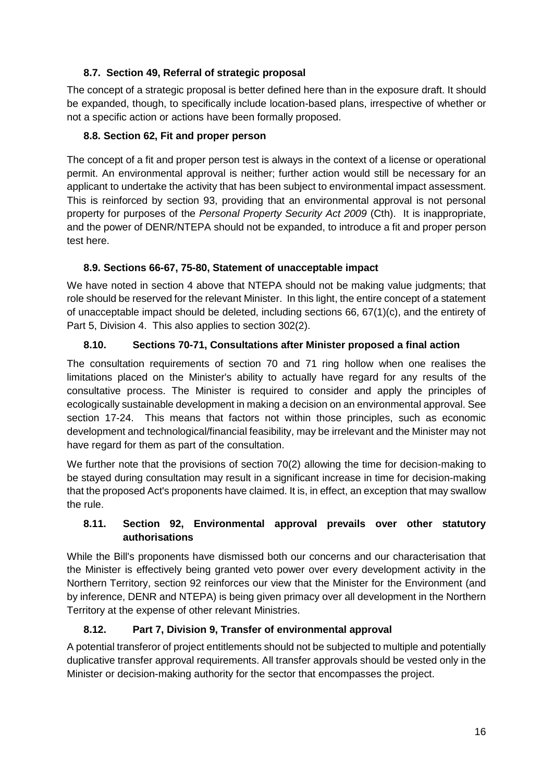## **8.7. Section 49, Referral of strategic proposal**

<span id="page-15-0"></span>The concept of a strategic proposal is better defined here than in the exposure draft. It should be expanded, though, to specifically include location-based plans, irrespective of whether or not a specific action or actions have been formally proposed.

### <span id="page-15-1"></span>**8.8. Section 62, Fit and proper person**

The concept of a fit and proper person test is always in the context of a license or operational permit. An environmental approval is neither; further action would still be necessary for an applicant to undertake the activity that has been subject to environmental impact assessment. This is reinforced by section 93, providing that an environmental approval is not personal property for purposes of the *Personal Property Security Act 2009* (Cth). It is inappropriate, and the power of DENR/NTEPA should not be expanded, to introduce a fit and proper person test here.

### **8.9. Sections 66-67, 75-80, Statement of unacceptable impact**

<span id="page-15-2"></span>We have noted in section 4 above that NTEPA should not be making value judgments; that role should be reserved for the relevant Minister. In this light, the entire concept of a statement of unacceptable impact should be deleted, including sections 66, 67(1)(c), and the entirety of Part 5, Division 4. This also applies to section 302(2).

### <span id="page-15-3"></span>**8.10. Sections 70-71, Consultations after Minister proposed a final action**

The consultation requirements of section 70 and 71 ring hollow when one realises the limitations placed on the Minister's ability to actually have regard for any results of the consultative process. The Minister is required to consider and apply the principles of ecologically sustainable development in making a decision on an environmental approval. See section 17-24. This means that factors not within those principles, such as economic development and technological/financial feasibility, may be irrelevant and the Minister may not have regard for them as part of the consultation.

We further note that the provisions of section 70(2) allowing the time for decision-making to be stayed during consultation may result in a significant increase in time for decision-making that the proposed Act's proponents have claimed. It is, in effect, an exception that may swallow the rule.

### <span id="page-15-4"></span>**8.11. Section 92, Environmental approval prevails over other statutory authorisations**

While the Bill's proponents have dismissed both our concerns and our characterisation that the Minister is effectively being granted veto power over every development activity in the Northern Territory, section 92 reinforces our view that the Minister for the Environment (and by inference, DENR and NTEPA) is being given primacy over all development in the Northern Territory at the expense of other relevant Ministries.

### **8.12. Part 7, Division 9, Transfer of environmental approval**

<span id="page-15-5"></span>A potential transferor of project entitlements should not be subjected to multiple and potentially duplicative transfer approval requirements. All transfer approvals should be vested only in the Minister or decision-making authority for the sector that encompasses the project.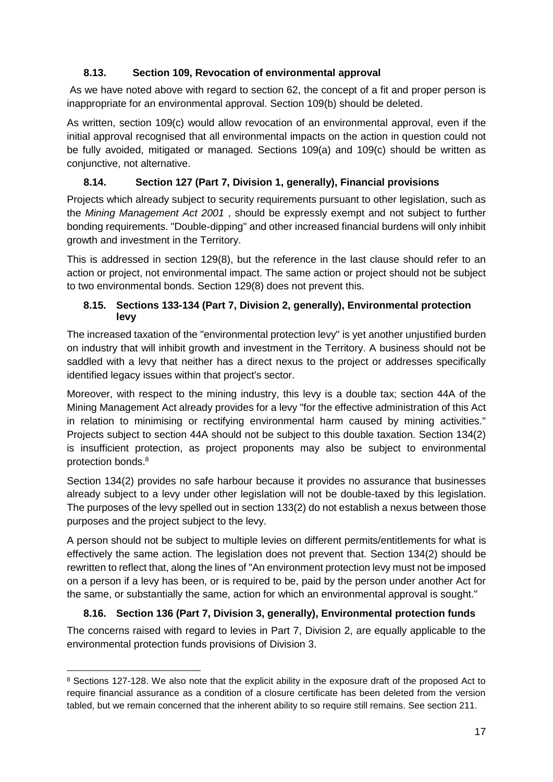### **8.13. Section 109, Revocation of environmental approval**

<span id="page-16-0"></span>As we have noted above with regard to section 62, the concept of a fit and proper person is inappropriate for an environmental approval. Section 109(b) should be deleted.

As written, section 109(c) would allow revocation of an environmental approval, even if the initial approval recognised that all environmental impacts on the action in question could not be fully avoided, mitigated or managed. Sections 109(a) and 109(c) should be written as conjunctive, not alternative.

### <span id="page-16-1"></span>**8.14. Section 127 (Part 7, Division 1, generally), Financial provisions**

Projects which already subject to security requirements pursuant to other legislation, such as the *Mining Management Act 2001* , should be expressly exempt and not subject to further bonding requirements. "Double-dipping" and other increased financial burdens will only inhibit growth and investment in the Territory.

This is addressed in section 129(8), but the reference in the last clause should refer to an action or project, not environmental impact. The same action or project should not be subject to two environmental bonds. Section 129(8) does not prevent this.

#### <span id="page-16-2"></span>**8.15. Sections 133-134 (Part 7, Division 2, generally), Environmental protection levy**

The increased taxation of the "environmental protection levy" is yet another unjustified burden on industry that will inhibit growth and investment in the Territory. A business should not be saddled with a levy that neither has a direct nexus to the project or addresses specifically identified legacy issues within that project's sector.

Moreover, with respect to the mining industry, this levy is a double tax; section 44A of the Mining Management Act already provides for a levy "for the effective administration of this Act in relation to minimising or rectifying environmental harm caused by mining activities." Projects subject to section 44A should not be subject to this double taxation. Section 134(2) is insufficient protection, as project proponents may also be subject to environmental protection bonds.<sup>8</sup>

Section 134(2) provides no safe harbour because it provides no assurance that businesses already subject to a levy under other legislation will not be double-taxed by this legislation. The purposes of the levy spelled out in section 133(2) do not establish a nexus between those purposes and the project subject to the levy.

A person should not be subject to multiple levies on different permits/entitlements for what is effectively the same action. The legislation does not prevent that. Section 134(2) should be rewritten to reflect that, along the lines of "An environment protection levy must not be imposed on a person if a levy has been, or is required to be, paid by the person under another Act for the same, or substantially the same, action for which an environmental approval is sought."

### **8.16. Section 136 (Part 7, Division 3, generally), Environmental protection funds**

<span id="page-16-3"></span>The concerns raised with regard to levies in Part 7, Division 2, are equally applicable to the environmental protection funds provisions of Division 3.

<sup>-</sup><sup>8</sup> Sections 127-128. We also note that the explicit ability in the exposure draft of the proposed Act to require financial assurance as a condition of a closure certificate has been deleted from the version tabled, but we remain concerned that the inherent ability to so require still remains. See section 211.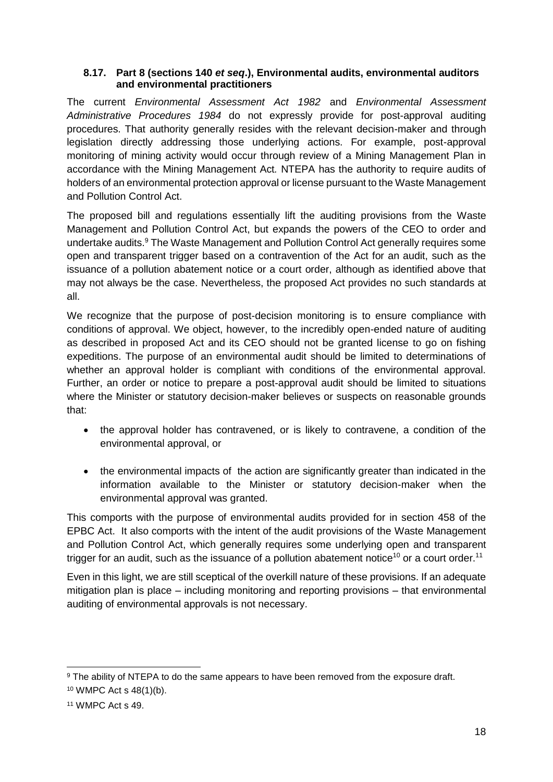#### <span id="page-17-0"></span>**8.17. Part 8 (sections 140** *et seq***.), Environmental audits, environmental auditors and environmental practitioners**

The current *Environmental Assessment Act 1982* and *Environmental Assessment Administrative Procedures 1984* do not expressly provide for post-approval auditing procedures. That authority generally resides with the relevant decision-maker and through legislation directly addressing those underlying actions. For example, post-approval monitoring of mining activity would occur through review of a Mining Management Plan in accordance with the Mining Management Act*.* NTEPA has the authority to require audits of holders of an environmental protection approval or license pursuant to the Waste Management and Pollution Control Act.

The proposed bill and regulations essentially lift the auditing provisions from the Waste Management and Pollution Control Act, but expands the powers of the CEO to order and undertake audits.<sup>9</sup> The Waste Management and Pollution Control Act generally requires some open and transparent trigger based on a contravention of the Act for an audit, such as the issuance of a pollution abatement notice or a court order, although as identified above that may not always be the case. Nevertheless, the proposed Act provides no such standards at all.

We recognize that the purpose of post-decision monitoring is to ensure compliance with conditions of approval. We object, however, to the incredibly open-ended nature of auditing as described in proposed Act and its CEO should not be granted license to go on fishing expeditions. The purpose of an environmental audit should be limited to determinations of whether an approval holder is compliant with conditions of the environmental approval. Further, an order or notice to prepare a post-approval audit should be limited to situations where the Minister or statutory decision-maker believes or suspects on reasonable grounds that:

- the approval holder has contravened, or is likely to contravene, a condition of the environmental approval, or
- the environmental impacts of the action are significantly greater than indicated in the information available to the Minister or statutory decision-maker when the environmental approval was granted.

This comports with the purpose of environmental audits provided for in section 458 of the EPBC Act. It also comports with the intent of the audit provisions of the Waste Management and Pollution Control Act, which generally requires some underlying open and transparent trigger for an audit, such as the issuance of a pollution abatement notice<sup>10</sup> or a court order.<sup>11</sup>

Even in this light, we are still sceptical of the overkill nature of these provisions. If an adequate mitigation plan is place – including monitoring and reporting provisions – that environmental auditing of environmental approvals is not necessary.

<sup>-</sup><sup>9</sup> The ability of NTEPA to do the same appears to have been removed from the exposure draft. <sup>10</sup> WMPC Act s 48(1)(b).

<sup>11</sup> WMPC Act s 49.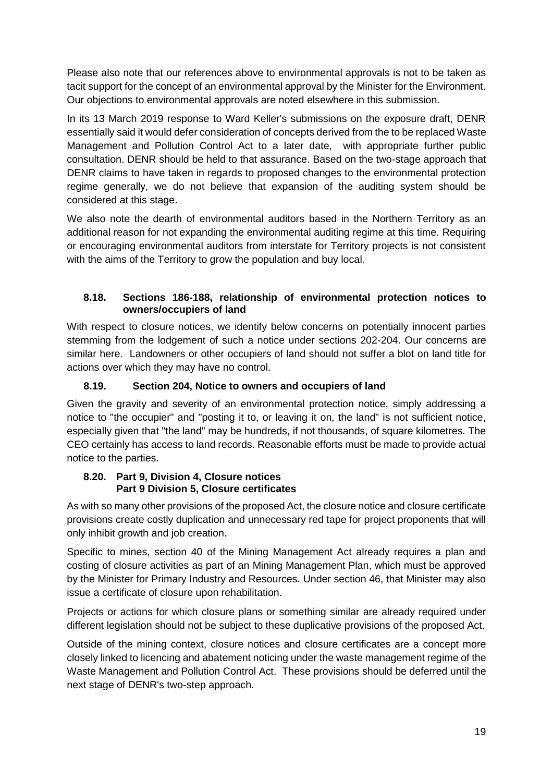Please also note that our references above to environmental approvals is not to be taken as tacit support for the concept of an environmental approval by the Minister for the Environment. Our objections to environmental approvals are noted elsewhere in this submission.

In its 13 March 2019 response to Ward Keller's submissions on the exposure draft, DENR essentially said it would defer consideration of concepts derived from the to be replaced Waste Management and Pollution Control Act to a later date, with appropriate further public consultation. DENR should be held to that assurance. Based on the two-stage approach that DENR claims to have taken in regards to proposed changes to the environmental protection regime generally, we do not believe that expansion of the auditing system should be considered at this stage.

We also note the dearth of environmental auditors based in the Northern Territory as an additional reason for not expanding the environmental auditing regime at this time. Requiring or encouraging environmental auditors from interstate for Territory projects is not consistent with the aims of the Territory to grow the population and buy local.

#### <span id="page-18-0"></span>**8.18. Sections 186-188, relationship of environmental protection notices to owners/occupiers of land**

With respect to closure notices, we identify below concerns on potentially innocent parties stemming from the lodgement of such a notice under sections 202-204. Our concerns are similar here. Landowners or other occupiers of land should not suffer a blot on land title for actions over which they may have no control.

#### **8.19. Section 204, Notice to owners and occupiers of land**

<span id="page-18-1"></span>Given the gravity and severity of an environmental protection notice, simply addressing a notice to "the occupier" and "posting it to, or leaving it on, the land" is not sufficient notice, especially given that "the land" may be hundreds, if not thousands, of square kilometres. The CEO certainly has access to land records. Reasonable efforts must be made to provide actual notice to the parties.

#### <span id="page-18-2"></span>**8.20. Part 9, Division 4, Closure notices Part 9 Division 5, Closure certificates**

As with so many other provisions of the proposed Act, the closure notice and closure certificate provisions create costly duplication and unnecessary red tape for project proponents that will only inhibit growth and job creation.

Specific to mines, section 40 of the Mining Management Act already requires a plan and costing of closure activities as part of an Mining Management Plan, which must be approved by the Minister for Primary Industry and Resources. Under section 46, that Minister may also issue a certificate of closure upon rehabilitation.

Projects or actions for which closure plans or something similar are already required under different legislation should not be subject to these duplicative provisions of the proposed Act.

Outside of the mining context, closure notices and closure certificates are a concept more closely linked to licencing and abatement noticing under the waste management regime of the Waste Management and Pollution Control Act. These provisions should be deferred until the next stage of DENR's two-step approach.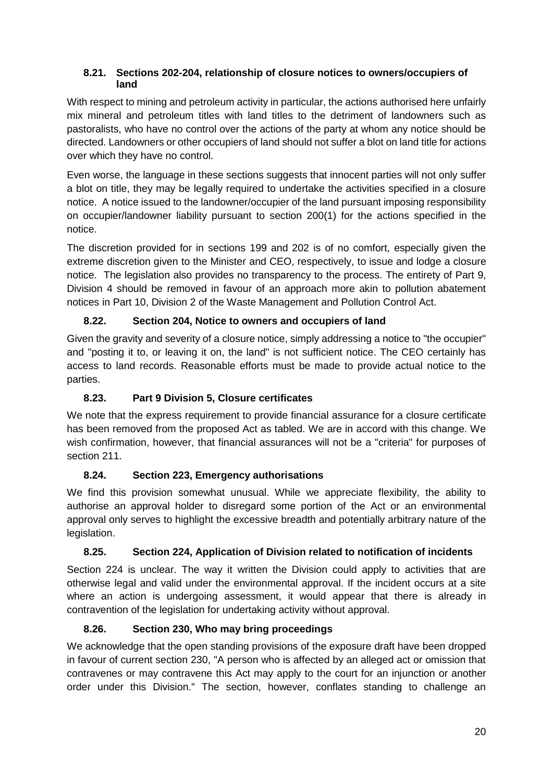#### <span id="page-19-0"></span>**8.21. Sections 202-204, relationship of closure notices to owners/occupiers of land**

With respect to mining and petroleum activity in particular, the actions authorised here unfairly mix mineral and petroleum titles with land titles to the detriment of landowners such as pastoralists, who have no control over the actions of the party at whom any notice should be directed. Landowners or other occupiers of land should not suffer a blot on land title for actions over which they have no control.

Even worse, the language in these sections suggests that innocent parties will not only suffer a blot on title, they may be legally required to undertake the activities specified in a closure notice. A notice issued to the landowner/occupier of the land pursuant imposing responsibility on occupier/landowner liability pursuant to section 200(1) for the actions specified in the notice.

The discretion provided for in sections 199 and 202 is of no comfort, especially given the extreme discretion given to the Minister and CEO, respectively, to issue and lodge a closure notice. The legislation also provides no transparency to the process. The entirety of Part 9, Division 4 should be removed in favour of an approach more akin to pollution abatement notices in Part 10, Division 2 of the Waste Management and Pollution Control Act.

## **8.22. Section 204, Notice to owners and occupiers of land**

<span id="page-19-1"></span>Given the gravity and severity of a closure notice, simply addressing a notice to "the occupier" and "posting it to, or leaving it on, the land" is not sufficient notice. The CEO certainly has access to land records. Reasonable efforts must be made to provide actual notice to the parties.

## **8.23. Part 9 Division 5, Closure certificates**

<span id="page-19-2"></span>We note that the express requirement to provide financial assurance for a closure certificate has been removed from the proposed Act as tabled. We are in accord with this change. We wish confirmation, however, that financial assurances will not be a "criteria" for purposes of section 211.

# **8.24. Section 223, Emergency authorisations**

<span id="page-19-3"></span>We find this provision somewhat unusual. While we appreciate flexibility, the ability to authorise an approval holder to disregard some portion of the Act or an environmental approval only serves to highlight the excessive breadth and potentially arbitrary nature of the legislation.

# **8.25. Section 224, Application of Division related to notification of incidents**

<span id="page-19-4"></span>Section 224 is unclear. The way it written the Division could apply to activities that are otherwise legal and valid under the environmental approval. If the incident occurs at a site where an action is undergoing assessment, it would appear that there is already in contravention of the legislation for undertaking activity without approval.

# **8.26. Section 230, Who may bring proceedings**

<span id="page-19-5"></span>We acknowledge that the open standing provisions of the exposure draft have been dropped in favour of current section 230, "A person who is affected by an alleged act or omission that contravenes or may contravene this Act may apply to the court for an injunction or another order under this Division." The section, however, conflates standing to challenge an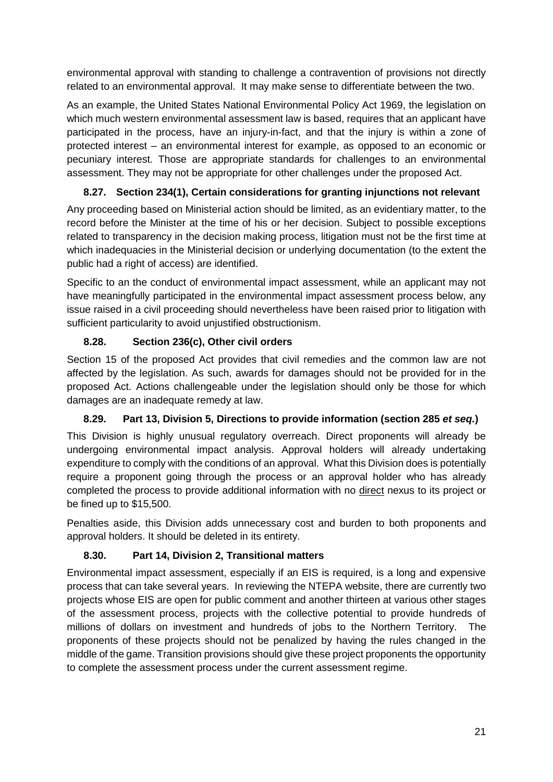environmental approval with standing to challenge a contravention of provisions not directly related to an environmental approval. It may make sense to differentiate between the two.

As an example, the United States National Environmental Policy Act 1969, the legislation on which much western environmental assessment law is based, requires that an applicant have participated in the process, have an injury-in-fact, and that the injury is within a zone of protected interest – an environmental interest for example, as opposed to an economic or pecuniary interest. Those are appropriate standards for challenges to an environmental assessment. They may not be appropriate for other challenges under the proposed Act.

### **8.27. Section 234(1), Certain considerations for granting injunctions not relevant**

<span id="page-20-0"></span>Any proceeding based on Ministerial action should be limited, as an evidentiary matter, to the record before the Minister at the time of his or her decision. Subject to possible exceptions related to transparency in the decision making process, litigation must not be the first time at which inadequacies in the Ministerial decision or underlying documentation (to the extent the public had a right of access) are identified.

Specific to an the conduct of environmental impact assessment, while an applicant may not have meaningfully participated in the environmental impact assessment process below, any issue raised in a civil proceeding should nevertheless have been raised prior to litigation with sufficient particularity to avoid unjustified obstructionism.

#### **8.28. Section 236(c), Other civil orders**

<span id="page-20-1"></span>Section 15 of the proposed Act provides that civil remedies and the common law are not affected by the legislation. As such, awards for damages should not be provided for in the proposed Act. Actions challengeable under the legislation should only be those for which damages are an inadequate remedy at law.

#### **8.29. Part 13, Division 5, Directions to provide information (section 285** *et seq.***)**

<span id="page-20-2"></span>This Division is highly unusual regulatory overreach. Direct proponents will already be undergoing environmental impact analysis. Approval holders will already undertaking expenditure to comply with the conditions of an approval. What this Division does is potentially require a proponent going through the process or an approval holder who has already completed the process to provide additional information with no direct nexus to its project or be fined up to \$15,500.

Penalties aside, this Division adds unnecessary cost and burden to both proponents and approval holders. It should be deleted in its entirety.

#### **8.30. Part 14, Division 2, Transitional matters**

<span id="page-20-3"></span>Environmental impact assessment, especially if an EIS is required, is a long and expensive process that can take several years. In reviewing the NTEPA website, there are currently two projects whose EIS are open for public comment and another thirteen at various other stages of the assessment process, projects with the collective potential to provide hundreds of millions of dollars on investment and hundreds of jobs to the Northern Territory. The proponents of these projects should not be penalized by having the rules changed in the middle of the game. Transition provisions should give these project proponents the opportunity to complete the assessment process under the current assessment regime.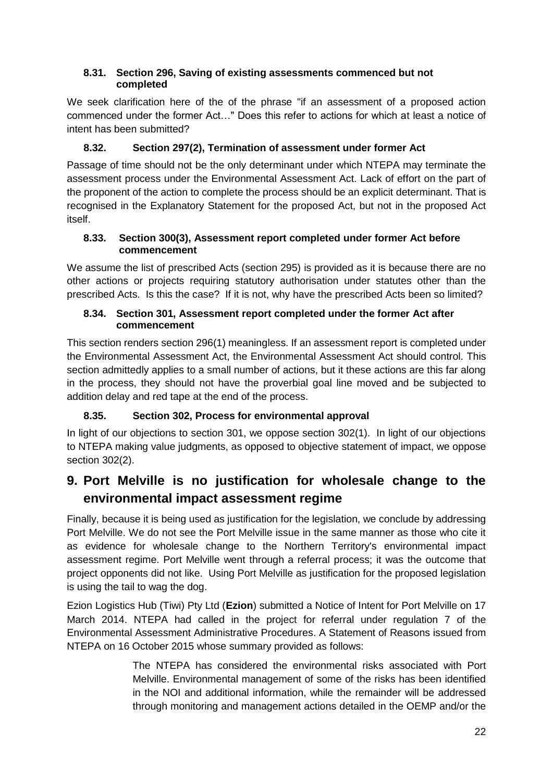#### <span id="page-21-0"></span>**8.31. Section 296, Saving of existing assessments commenced but not completed**

We seek clarification here of the of the phrase "if an assessment of a proposed action commenced under the former Act…" Does this refer to actions for which at least a notice of intent has been submitted?

### **8.32. Section 297(2), Termination of assessment under former Act**

<span id="page-21-1"></span>Passage of time should not be the only determinant under which NTEPA may terminate the assessment process under the Environmental Assessment Act. Lack of effort on the part of the proponent of the action to complete the process should be an explicit determinant. That is recognised in the Explanatory Statement for the proposed Act, but not in the proposed Act itself.

#### <span id="page-21-2"></span>**8.33. Section 300(3), Assessment report completed under former Act before commencement**

We assume the list of prescribed Acts (section 295) is provided as it is because there are no other actions or projects requiring statutory authorisation under statutes other than the prescribed Acts. Is this the case? If it is not, why have the prescribed Acts been so limited?

#### <span id="page-21-3"></span>**8.34. Section 301, Assessment report completed under the former Act after commencement**

This section renders section 296(1) meaningless. If an assessment report is completed under the Environmental Assessment Act, the Environmental Assessment Act should control. This section admittedly applies to a small number of actions, but it these actions are this far along in the process, they should not have the proverbial goal line moved and be subjected to addition delay and red tape at the end of the process.

# **8.35. Section 302, Process for environmental approval**

<span id="page-21-4"></span>In light of our objections to section 301, we oppose section 302(1). In light of our objections to NTEPA making value judgments, as opposed to objective statement of impact, we oppose section 302(2).

# <span id="page-21-5"></span>**9. Port Melville is no justification for wholesale change to the environmental impact assessment regime**

Finally, because it is being used as justification for the legislation, we conclude by addressing Port Melville. We do not see the Port Melville issue in the same manner as those who cite it as evidence for wholesale change to the Northern Territory's environmental impact assessment regime. Port Melville went through a referral process; it was the outcome that project opponents did not like. Using Port Melville as justification for the proposed legislation is using the tail to wag the dog.

Ezion Logistics Hub (Tiwi) Pty Ltd (**Ezion**) submitted a Notice of Intent for Port Melville on 17 March 2014. NTEPA had called in the project for referral under regulation 7 of the Environmental Assessment Administrative Procedures. A Statement of Reasons issued from NTEPA on 16 October 2015 whose summary provided as follows:

> The NTEPA has considered the environmental risks associated with Port Melville. Environmental management of some of the risks has been identified in the NOI and additional information, while the remainder will be addressed through monitoring and management actions detailed in the OEMP and/or the